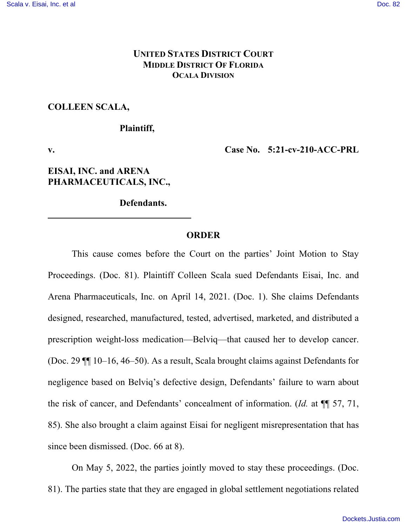# **UNITED STATES DISTRICT COURT MIDDLE DISTRICT OF FLORIDA OCALA DIVISION**

### **COLLEEN SCALA,**

#### **Plaintiff,**

**v. Case No. 5:21-cv-210-ACC-PRL**

# **EISAI, INC. and ARENA PHARMACEUTICALS, INC.,**

**Defendants.**

# **ORDER**

This cause comes before the Court on the parties' Joint Motion to Stay Proceedings. (Doc. 81). Plaintiff Colleen Scala sued Defendants Eisai, Inc. and Arena Pharmaceuticals, Inc. on April 14, 2021. (Doc. 1). She claims Defendants designed, researched, manufactured, tested, advertised, marketed, and distributed a prescription weight-loss medication—Belviq—that caused her to develop cancer. (Doc. 29 ¶¶ 10–16, 46–50). As a result, Scala brought claims against Defendants for negligence based on Belviq's defective design, Defendants' failure to warn about the risk of cancer, and Defendants' concealment of information. (*Id.* at ¶¶ 57, 71, 85). She also brought a claim against Eisai for negligent misrepresentation that has since been dismissed. (Doc. 66 at 8).

On May 5, 2022, the parties jointly moved to stay these proceedings. (Doc. 81). The parties state that they are engaged in global settlement negotiations related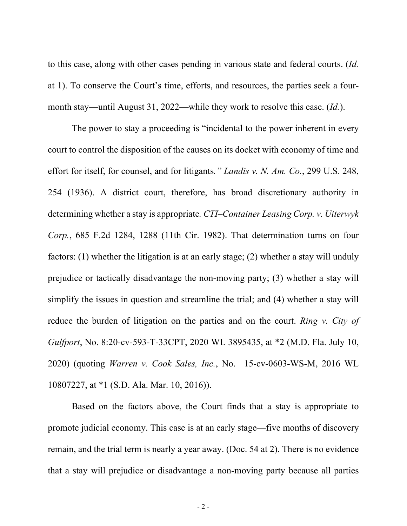to this case, along with other cases pending in various state and federal courts. (*Id.*  at 1). To conserve the Court's time, efforts, and resources, the parties seek a fourmonth stay—until August 31, 2022—while they work to resolve this case. (*Id.*).

The power to stay a proceeding is "incidental to the power inherent in every court to control the disposition of the causes on its docket with economy of time and effort for itself, for counsel, and for litigants*." Landis v. N. Am. Co.*, 299 U.S. 248, 254 (1936). A district court, therefore, has broad discretionary authority in determining whether a stay is appropriate*. CTI–Container Leasing Corp. v. Uiterwyk Corp.*, 685 F.2d 1284, 1288 (11th Cir. 1982). That determination turns on four factors: (1) whether the litigation is at an early stage; (2) whether a stay will unduly prejudice or tactically disadvantage the non-moving party; (3) whether a stay will simplify the issues in question and streamline the trial; and (4) whether a stay will reduce the burden of litigation on the parties and on the court. *Ring v. City of Gulfport*, No. 8:20-cv-593-T-33CPT, 2020 WL 3895435, at \*2 (M.D. Fla. July 10, 2020) (quoting *Warren v. Cook Sales, Inc.*, No. 15-cv-0603-WS-M, 2016 WL 10807227, at \*1 (S.D. Ala. Mar. 10, 2016)).

Based on the factors above, the Court finds that a stay is appropriate to promote judicial economy. This case is at an early stage—five months of discovery remain, and the trial term is nearly a year away. (Doc. 54 at 2). There is no evidence that a stay will prejudice or disadvantage a non-moving party because all parties